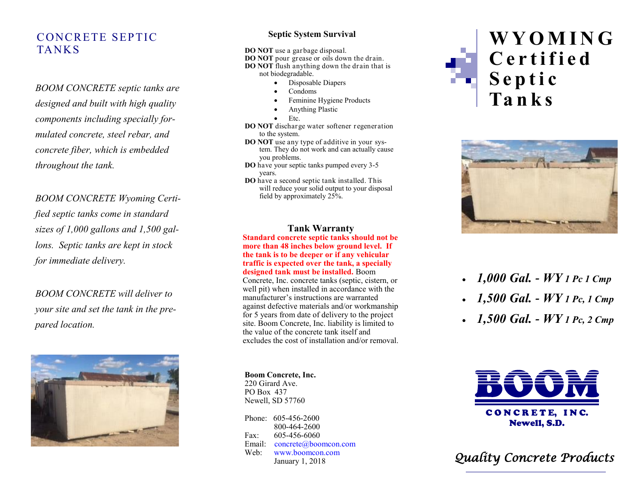# CONCRETE SEPTIC **TANKS**

*BOOM CONCRETE septic tanks are designed and built with high quality components including specially formulated concrete, steel rebar, and concrete fiber, which is embedded throughout the tank.*

*BOOM CONCRETE Wyoming Certified septic tanks come in standard sizes of 1,000 gallons and 1,500 gallons. Septic tanks are kept in stock for immediate delivery.*

*BOOM CONCRETE will deliver to your site and set the tank in the prepared location.* 



### **Septic System Survival**

**DO NOT** use a garbage disposal. **DO NOT** pour grease or oils down the drain. **DO NOT** flush anything down the drain that is not biodegradable.

- Disposable Diapers
- Condoms
- Feminine Hygiene Products
- Anything Plastic
- Etc.
- **DO NOT** discharge water softener regeneration to the system.
- **DO NOT** use any type of additive in your system. They do not work and can actually cause you problems.
- **DO** have your septic tanks pumped every 3 -5 years.
- **DO** have a second septic tank installed. This will reduce your solid output to your disposal field by approximately 25%.

### **Tank Warranty**

**Standard concrete septic tanks should not be more than 48 inches below ground level. If the tank is to be deeper or if any vehicular traffic is expected over the tank, a specially designed tank must be installed.** Boom

Concrete, Inc. concrete tanks (septic, cistern, or well pit) when installed in accordance with the manufacturer 's instructions are warranted against defective materials and/or workmanship for 5 years from date of delivery to the project site. Boom Concrete, Inc. liability is limited to the value of the concrete tank itself and excludes the cost of installation and/or removal.

#### **Boom Concrete, Inc.** 220 Girard Ave.

PO Box 437 Newell, SD 57760

Phone: 605-456-2600 800 -464 -2600 Fax: -456 -6060 Email: concrete@boomcon.com Web: www.boomcon.com January 1, 2018





- *1,000 Gal. - WY 1 Pc 1 Cmp*
- *1,500 Gal. - WY 1 Pc, 1 Cmp*
- *1,500 Gal. - WY 1 Pc, 2 Cmp*



*Quality Concrete Products*